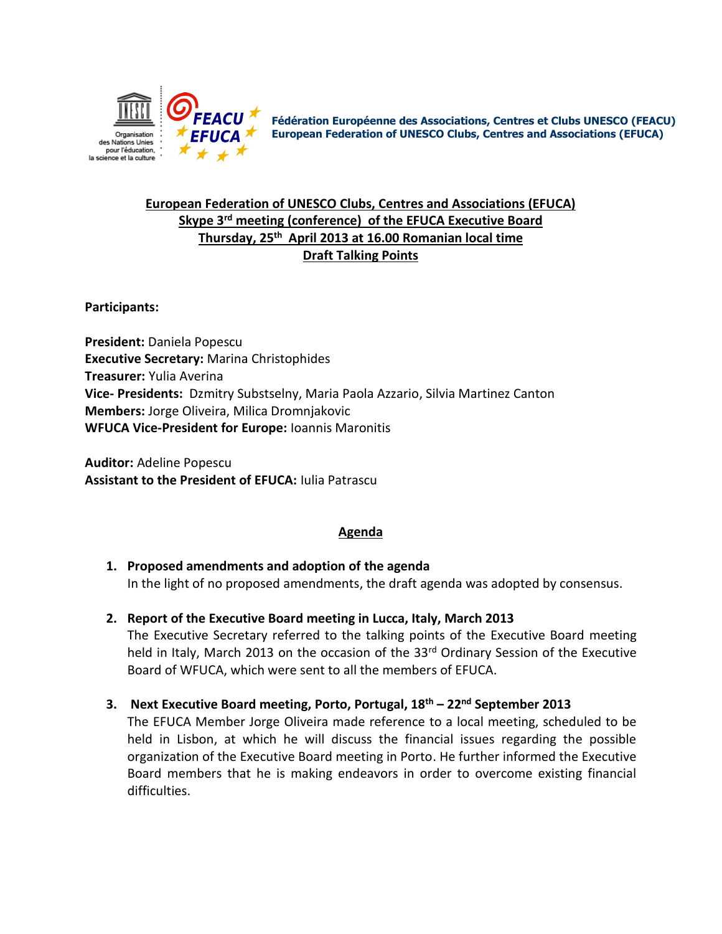

**Fédération Européenne des Associations, Centres et Clubs UNESCO (FEACU) European Federation of UNESCO Clubs, Centres and Associations (EFUCA)**

# **European Federation of UNESCO Clubs, Centres and Associations (EFUCA) Skype 3 rd meeting (conference) of the EFUCA Executive Board Thursday, 25 th April 2013 at 16.00 Romanian local time Draft Talking Points**

**Participants:** 

**President:** Daniela Popescu **Executive Secretary:** Marina Christophides **Treasurer:** Yulia Averina **Vice- Presidents:** Dzmitry Substselny, Maria Paola Azzario, Silvia Martinez Canton **Members:** Jorge Oliveira, Milica Dromnjakovic **WFUCA Vice-President for Europe:** Ioannis Maronitis

**Auditor:** Adeline Popescu **Assistant to the President of EFUCA:** Iulia Patrascu

## **Agenda**

- **1. Proposed amendments and adoption of the agenda** In the light of no proposed amendments, the draft agenda was adopted by consensus.
- **2. Report of the Executive Board meeting in Lucca, Italy, March 2013**

The Executive Secretary referred to the talking points of the Executive Board meeting held in Italy, March 2013 on the occasion of the 33<sup>rd</sup> Ordinary Session of the Executive Board of WFUCA, which were sent to all the members of EFUCA.

**3. Next Executive Board meeting, Porto, Portugal, 18th – 22nd September 2013**

The EFUCA Member Jorge Oliveira made reference to a local meeting, scheduled to be held in Lisbon, at which he will discuss the financial issues regarding the possible organization of the Executive Board meeting in Porto. He further informed the Executive Board members that he is making endeavors in order to overcome existing financial difficulties.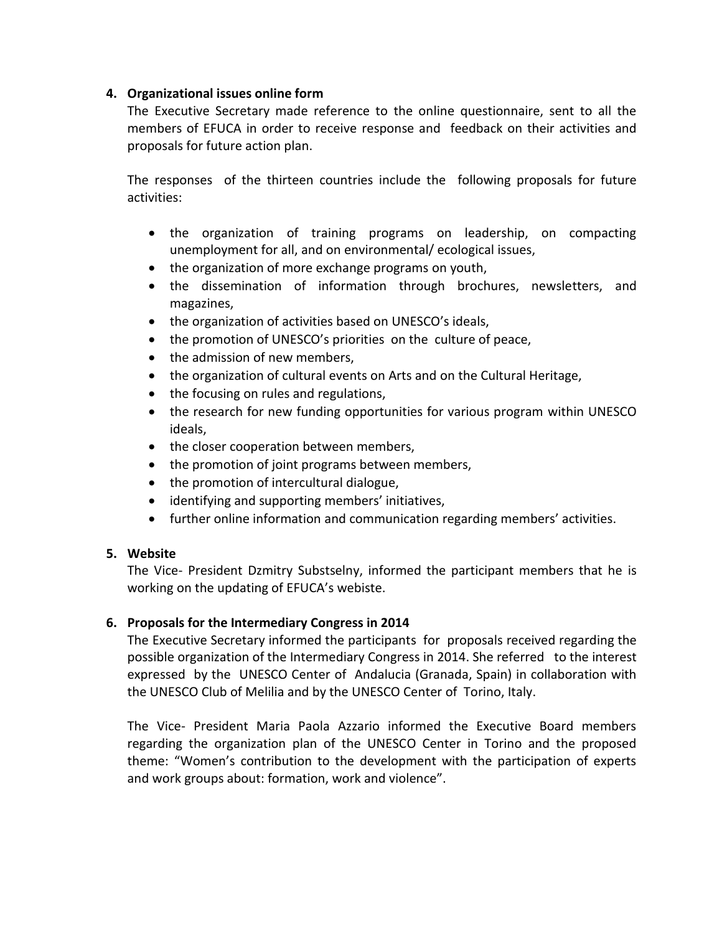#### **4. Organizational issues online form**

The Executive Secretary made reference to the online questionnaire, sent to all the members of EFUCA in order to receive response and feedback on their activities and proposals for future action plan.

The responses of the thirteen countries include the following proposals for future activities:

- the organization of training programs on leadership, on compacting unemployment for all, and on environmental/ ecological issues,
- the organization of more exchange programs on youth,
- the dissemination of information through brochures, newsletters, and magazines,
- the organization of activities based on UNESCO's ideals,
- the promotion of UNESCO's priorities on the culture of peace,
- the admission of new members,
- the organization of cultural events on Arts and on the Cultural Heritage,
- the focusing on rules and regulations,
- the research for new funding opportunities for various program within UNESCO ideals,
- the closer cooperation between members,
- the promotion of joint programs between members,
- the promotion of intercultural dialogue,
- identifying and supporting members' initiatives,
- further online information and communication regarding members' activities.

## **5. Website**

The Vice- President Dzmitry Substselny, informed the participant members that he is working on the updating of EFUCA's webiste.

## **6. Proposals for the Intermediary Congress in 2014**

The Executive Secretary informed the participants for proposals received regarding the possible organization of the Intermediary Congress in 2014. She referred to the interest expressed by the UNESCO Center of Andalucia (Granada, Spain) in collaboration with the UNESCO Club of Melilia and by the UNESCO Center of Torino, Italy.

The Vice- President Maria Paola Azzario informed the Executive Board members regarding the organization plan of the UNESCO Center in Torino and the proposed theme: "Women's contribution to the development with the participation of experts and work groups about: formation, work and violence".